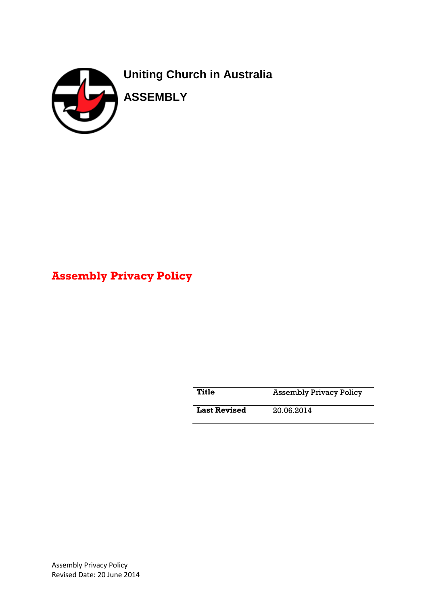

# **Assembly Privacy Policy**

**Title • Assembly Privacy Policy** 

**Last Revised** 20.06.2014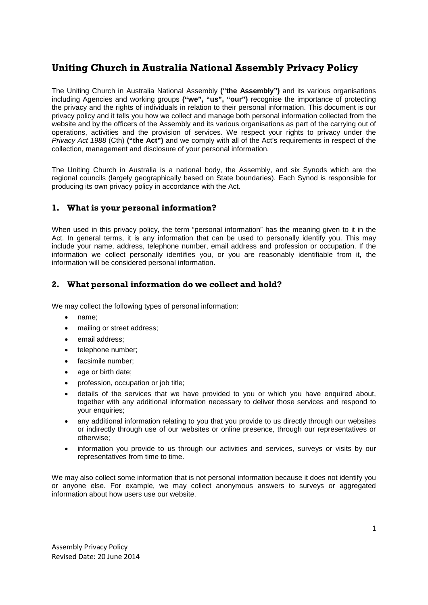# **Uniting Church in Australia National Assembly Privacy Policy**

The Uniting Church in Australia National Assembly **("the Assembly")** and its various organisations including Agencies and working groups **("we", "us", "our")** recognise the importance of protecting the privacy and the rights of individuals in relation to their personal information. This document is our privacy policy and it tells you how we collect and manage both personal information collected from the website and by the officers of the Assembly and its various organisations as part of the carrying out of operations, activities and the provision of services. We respect your rights to privacy under the *Privacy Act 1988* (Cth) **("the Act")** and we comply with all of the Act's requirements in respect of the collection, management and disclosure of your personal information.

The Uniting Church in Australia is a national body, the Assembly, and six Synods which are the regional councils (largely geographically based on State boundaries). Each Synod is responsible for producing its own privacy policy in accordance with the Act.

# **1. What is your personal information?**

When used in this privacy policy, the term "personal information" has the meaning given to it in the Act. In general terms, it is any information that can be used to personally identify you. This may include your name, address, telephone number, email address and profession or occupation. If the information we collect personally identifies you, or you are reasonably identifiable from it, the information will be considered personal information.

# **2. What personal information do we collect and hold?**

We may collect the following types of personal information:

- name;
- mailing or street address;
- email address:
- telephone number:
- facsimile number;
- age or birth date;
- profession, occupation or job title;
- details of the services that we have provided to you or which you have enquired about, together with any additional information necessary to deliver those services and respond to your enquiries;
- any additional information relating to you that you provide to us directly through our websites or indirectly through use of our websites or online presence, through our representatives or otherwise;
- information you provide to us through our activities and services, surveys or visits by our representatives from time to time.

We may also collect some information that is not personal information because it does not identify you or anyone else. For example, we may collect anonymous answers to surveys or aggregated information about how users use our website.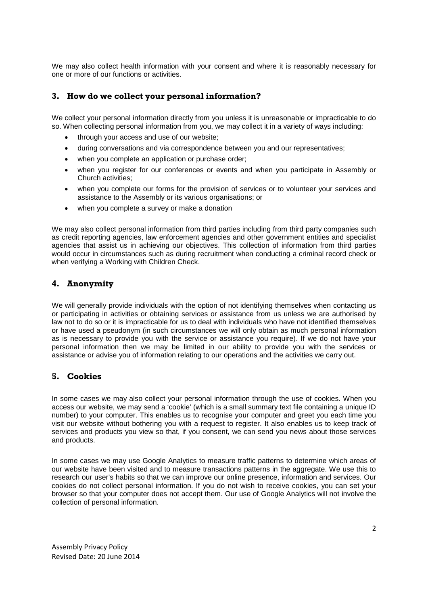We may also collect health information with your consent and where it is reasonably necessary for one or more of our functions or activities.

#### **3. How do we collect your personal information?**

We collect your personal information directly from you unless it is unreasonable or impracticable to do so. When collecting personal information from you, we may collect it in a variety of ways including:

- through your access and use of our website;
- during conversations and via correspondence between you and our representatives;
- when you complete an application or purchase order;
- when you register for our conferences or events and when you participate in Assembly or Church activities;
- when you complete our forms for the provision of services or to volunteer your services and assistance to the Assembly or its various organisations; or
- when you complete a survey or make a donation

We may also collect personal information from third parties including from third party companies such as credit reporting agencies, law enforcement agencies and other government entities and specialist agencies that assist us in achieving our objectives. This collection of information from third parties would occur in circumstances such as during recruitment when conducting a criminal record check or when verifying a Working with Children Check.

#### **4. Anonymity**

We will generally provide individuals with the option of not identifying themselves when contacting us or participating in activities or obtaining services or assistance from us unless we are authorised by law not to do so or it is impracticable for us to deal with individuals who have not identified themselves or have used a pseudonym (in such circumstances we will only obtain as much personal information as is necessary to provide you with the service or assistance you require). If we do not have your personal information then we may be limited in our ability to provide you with the services or assistance or advise you of information relating to our operations and the activities we carry out.

#### **5. Cookies**

In some cases we may also collect your personal information through the use of cookies. When you access our website, we may send a 'cookie' (which is a small summary text file containing a unique ID number) to your computer. This enables us to recognise your computer and greet you each time you visit our website without bothering you with a request to register. It also enables us to keep track of services and products you view so that, if you consent, we can send you news about those services and products.

In some cases we may use Google Analytics to measure traffic patterns to determine which areas of our website have been visited and to measure transactions patterns in the aggregate. We use this to research our user's habits so that we can improve our online presence, information and services. Our cookies do not collect personal information. If you do not wish to receive cookies, you can set your browser so that your computer does not accept them. Our use of Google Analytics will not involve the collection of personal information.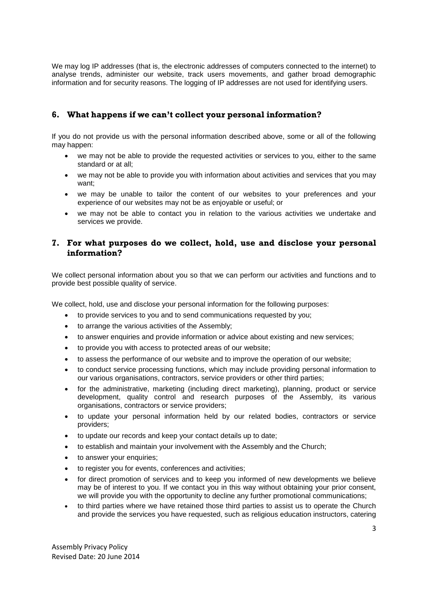We may log IP addresses (that is, the electronic addresses of computers connected to the internet) to analyse trends, administer our website, track users movements, and gather broad demographic information and for security reasons. The logging of IP addresses are not used for identifying users.

# **6. What happens if we can't collect your personal information?**

If you do not provide us with the personal information described above, some or all of the following may happen:

- we may not be able to provide the requested activities or services to you, either to the same standard or at all;
- we may not be able to provide you with information about activities and services that you may want;
- we may be unable to tailor the content of our websites to your preferences and your experience of our websites may not be as enjoyable or useful; or
- we may not be able to contact you in relation to the various activities we undertake and services we provide.

#### **7. For what purposes do we collect, hold, use and disclose your personal information?**

We collect personal information about you so that we can perform our activities and functions and to provide best possible quality of service.

We collect, hold, use and disclose your personal information for the following purposes:

- to provide services to you and to send communications requested by you;
- to arrange the various activities of the Assembly;
- to answer enquiries and provide information or advice about existing and new services:
- to provide you with access to protected areas of our website;
- to assess the performance of our website and to improve the operation of our website;
- to conduct service processing functions, which may include providing personal information to our various organisations, contractors, service providers or other third parties;
- for the administrative, marketing (including direct marketing), planning, product or service development, quality control and research purposes of the Assembly, its various organisations, contractors or service providers;
- to update your personal information held by our related bodies, contractors or service providers;
- to update our records and keep your contact details up to date;
- to establish and maintain your involvement with the Assembly and the Church;
- to answer your enquiries;
- to register you for events, conferences and activities;
- for direct promotion of services and to keep you informed of new developments we believe may be of interest to you. If we contact you in this way without obtaining your prior consent, we will provide you with the opportunity to decline any further promotional communications;
- to third parties where we have retained those third parties to assist us to operate the Church and provide the services you have requested, such as religious education instructors, catering

Assembly Privacy Policy Revised Date: 20 June 2014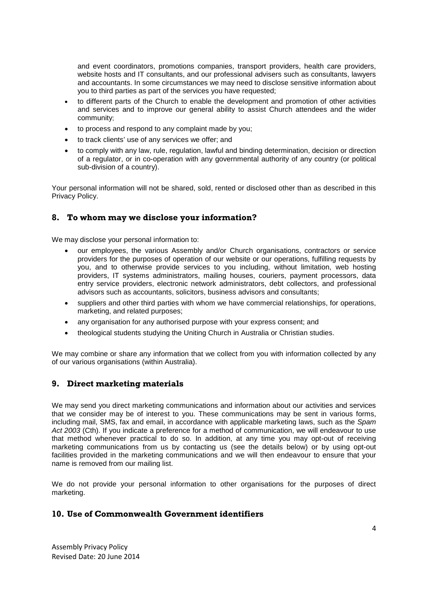and event coordinators, promotions companies, transport providers, health care providers, website hosts and IT consultants, and our professional advisers such as consultants, lawyers and accountants. In some circumstances we may need to disclose sensitive information about you to third parties as part of the services you have requested;

- to different parts of the Church to enable the development and promotion of other activities and services and to improve our general ability to assist Church attendees and the wider community;
- to process and respond to any complaint made by you;
- to track clients' use of any services we offer; and
- to comply with any law, rule, regulation, lawful and binding determination, decision or direction of a regulator, or in co-operation with any governmental authority of any country (or political sub-division of a country).

Your personal information will not be shared, sold, rented or disclosed other than as described in this Privacy Policy.

#### **8. To whom may we disclose your information?**

We may disclose your personal information to:

- our employees, the various Assembly and/or Church organisations, contractors or service providers for the purposes of operation of our website or our operations, fulfilling requests by you, and to otherwise provide services to you including, without limitation, web hosting providers, IT systems administrators, mailing houses, couriers, payment processors, data entry service providers, electronic network administrators, debt collectors, and professional advisors such as accountants, solicitors, business advisors and consultants;
- suppliers and other third parties with whom we have commercial relationships, for operations, marketing, and related purposes;
- any organisation for any authorised purpose with your express consent; and
- theological students studying the Uniting Church in Australia or Christian studies.

We may combine or share any information that we collect from you with information collected by any of our various organisations (within Australia).

#### **9. Direct marketing materials**

We may send you direct marketing communications and information about our activities and services that we consider may be of interest to you. These communications may be sent in various forms, including mail, SMS, fax and email, in accordance with applicable marketing laws, such as the *Spam Act 2003* (Cth). If you indicate a preference for a method of communication, we will endeavour to use that method whenever practical to do so. In addition, at any time you may opt-out of receiving marketing communications from us by contacting us (see the details below) or by using opt-out facilities provided in the marketing communications and we will then endeavour to ensure that your name is removed from our mailing list.

We do not provide your personal information to other organisations for the purposes of direct marketing.

#### **10. Use of Commonwealth Government identifiers**

Assembly Privacy Policy Revised Date: 20 June 2014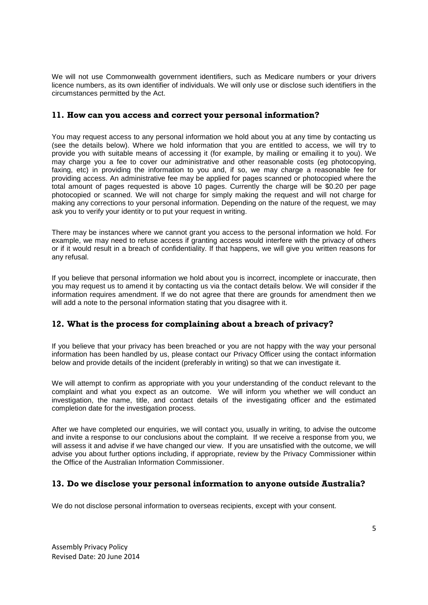We will not use Commonwealth government identifiers, such as Medicare numbers or your drivers licence numbers, as its own identifier of individuals. We will only use or disclose such identifiers in the circumstances permitted by the Act.

#### **11. How can you access and correct your personal information?**

You may request access to any personal information we hold about you at any time by contacting us (see the details below). Where we hold information that you are entitled to access, we will try to provide you with suitable means of accessing it (for example, by mailing or emailing it to you). We may charge you a fee to cover our administrative and other reasonable costs (eg photocopying, faxing, etc) in providing the information to you and, if so, we may charge a reasonable fee for providing access. An administrative fee may be applied for pages scanned or photocopied where the total amount of pages requested is above 10 pages. Currently the charge will be \$0.20 per page photocopied or scanned. We will not charge for simply making the request and will not charge for making any corrections to your personal information. Depending on the nature of the request, we may ask you to verify your identity or to put your request in writing.

There may be instances where we cannot grant you access to the personal information we hold. For example, we may need to refuse access if granting access would interfere with the privacy of others or if it would result in a breach of confidentiality. If that happens, we will give you written reasons for any refusal.

If you believe that personal information we hold about you is incorrect, incomplete or inaccurate, then you may request us to amend it by contacting us via the contact details below. We will consider if the information requires amendment. If we do not agree that there are grounds for amendment then we will add a note to the personal information stating that you disagree with it.

# **12. What is the process for complaining about a breach of privacy?**

If you believe that your privacy has been breached or you are not happy with the way your personal information has been handled by us, please contact our Privacy Officer using the contact information below and provide details of the incident (preferably in writing) so that we can investigate it.

We will attempt to confirm as appropriate with you your understanding of the conduct relevant to the complaint and what you expect as an outcome. We will inform you whether we will conduct an investigation, the name, title, and contact details of the investigating officer and the estimated completion date for the investigation process.

After we have completed our enquiries, we will contact you, usually in writing, to advise the outcome and invite a response to our conclusions about the complaint. If we receive a response from you, we will assess it and advise if we have changed our view. If you are unsatisfied with the outcome, we will advise you about further options including, if appropriate, review by the Privacy Commissioner within the Office of the Australian Information Commissioner.

#### **13. Do we disclose your personal information to anyone outside Australia?**

We do not disclose personal information to overseas recipients, except with your consent.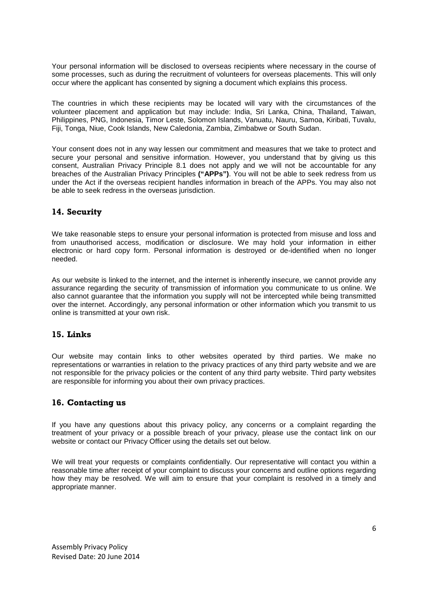Your personal information will be disclosed to overseas recipients where necessary in the course of some processes, such as during the recruitment of volunteers for overseas placements. This will only occur where the applicant has consented by signing a document which explains this process.

The countries in which these recipients may be located will vary with the circumstances of the volunteer placement and application but may include: India, Sri Lanka, China, Thailand, Taiwan, Philippines, PNG, Indonesia, Timor Leste, Solomon Islands, Vanuatu, Nauru, Samoa, Kiribati, Tuvalu, Fiji, Tonga, Niue, Cook Islands, New Caledonia, Zambia, Zimbabwe or South Sudan.

Your consent does not in any way lessen our commitment and measures that we take to protect and secure your personal and sensitive information. However, you understand that by giving us this consent, Australian Privacy Principle 8.1 does not apply and we will not be accountable for any breaches of the Australian Privacy Principles **("APPs")**. You will not be able to seek redress from us under the Act if the overseas recipient handles information in breach of the APPs. You may also not be able to seek redress in the overseas jurisdiction.

# **14. Security**

We take reasonable steps to ensure your personal information is protected from misuse and loss and from unauthorised access, modification or disclosure. We may hold your information in either electronic or hard copy form. Personal information is destroyed or de-identified when no longer needed.

As our website is linked to the internet, and the internet is inherently insecure, we cannot provide any assurance regarding the security of transmission of information you communicate to us online. We also cannot guarantee that the information you supply will not be intercepted while being transmitted over the internet. Accordingly, any personal information or other information which you transmit to us online is transmitted at your own risk.

#### **15. Links**

Our website may contain links to other websites operated by third parties. We make no representations or warranties in relation to the privacy practices of any third party website and we are not responsible for the privacy policies or the content of any third party website. Third party websites are responsible for informing you about their own privacy practices.

#### **16. Contacting us**

If you have any questions about this privacy policy, any concerns or a complaint regarding the treatment of your privacy or a possible breach of your privacy, please use the contact link on our website or contact our Privacy Officer using the details set out below.

We will treat your requests or complaints confidentially. Our representative will contact you within a reasonable time after receipt of your complaint to discuss your concerns and outline options regarding how they may be resolved. We will aim to ensure that your complaint is resolved in a timely and appropriate manner.